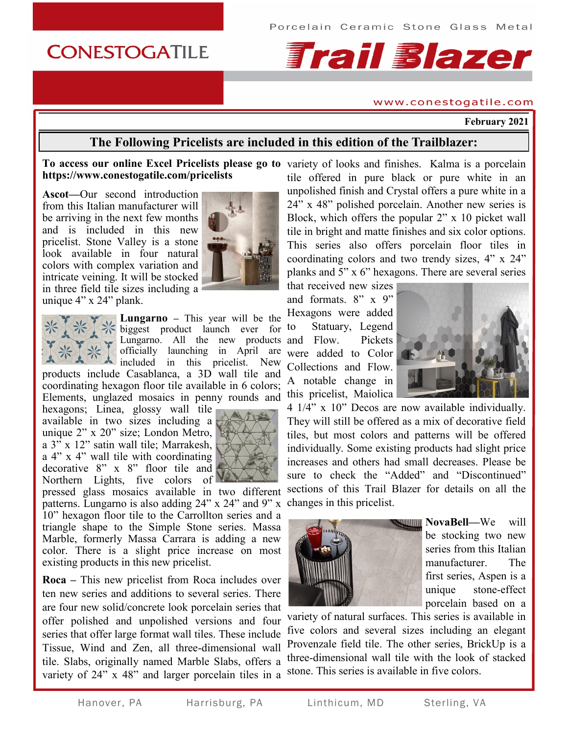# **CONESTOGATILE**

# **Frail Blazer**

#### www.conestogatile.com

**February 2021**

# **The Following Pricelists are included in this edition of the Trailblazer:**

## **To access our online Excel Pricelists please go to**  variety of looks and finishes. Kalma is a porcelain **https://www.conestogatile.com/pricelists**

**Ascot—**Our second introduction from this Italian manufacturer will be arriving in the next few months and is included in this new pricelist. Stone Valley is a stone look available in four natural colors with complex variation and intricate veining. It will be stocked in three field tile sizes including a unique 4" x 24" plank.



**Lungarno –** This year will be the biggest product launch ever for Lungarno. All the new products and Flow. Pickets officially launching in April are included in this pricelist. New products include Casablanca, a 3D wall tile and

coordinating hexagon floor tile available in 6 colors; Elements, unglazed mosaics in penny rounds and

hexagons; Linea, glossy wall tile available in two sizes including a unique 2" x 20" size; London Metro, a 3" x 12" satin wall tile; Marrakesh, a 4" x 4" wall tile with coordinating decorative 8" x 8" floor tile and Northern Lights, five colors of  $\blacksquare$ 



pressed glass mosaics available in two different patterns. Lungarno is also adding 24" x 24" and 9" x 10" hexagon floor tile to the Carrollton series and a triangle shape to the Simple Stone series. Massa Marble, formerly Massa Carrara is adding a new color. There is a slight price increase on most existing products in this new pricelist.

**Roca –** This new pricelist from Roca includes over ten new series and additions to several series. There are four new solid/concrete look porcelain series that offer polished and unpolished versions and four series that offer large format wall tiles. These include Tissue, Wind and Zen, all three-dimensional wall tile. Slabs, originally named Marble Slabs, offers a variety of 24" x 48" and larger porcelain tiles in a

tile offered in pure black or pure white in an unpolished finish and Crystal offers a pure white in a 24" x 48" polished porcelain. Another new series is Block, which offers the popular 2" x 10 picket wall tile in bright and matte finishes and six color options. This series also offers porcelain floor tiles in coordinating colors and two trendy sizes, 4" x 24" planks and 5" x 6" hexagons. There are several series

that received new sizes and formats.  $8'' \times 9''$ Hexagons were added to Statuary, Legend were added to Color Collections and Flow. A notable change in this pricelist, Maiolica



4 1/4" x 10" Decos are now available individually. They will still be offered as a mix of decorative field tiles, but most colors and patterns will be offered individually. Some existing products had slight price increases and others had small decreases. Please be sure to check the "Added" and "Discontinued" sections of this Trail Blazer for details on all the changes in this pricelist.



**NovaBell—We** will be stocking two new series from this Italian manufacturer. The first series, Aspen is a unique stone-effect porcelain based on a

variety of natural surfaces. This series is available in five colors and several sizes including an elegant Provenzale field tile. The other series, BrickUp is a three-dimensional wall tile with the look of stacked stone. This series is available in five colors.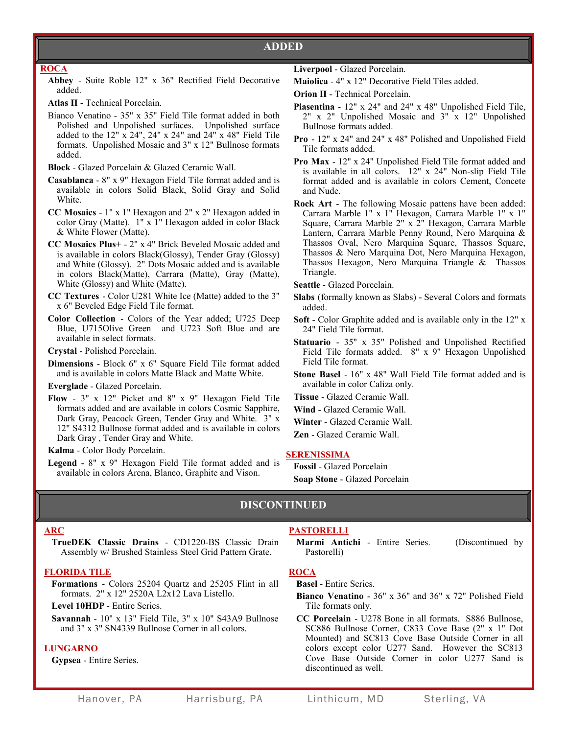# **ADDED**

#### **ROCA**

**Abbey** - Suite Roble 12" x 36" Rectified Field Decorative added.

**Atlas II** - Technical Porcelain.

Bianco Venatino - 35" x 35" Field Tile format added in both Polished and Unpolished surfaces. Unpolished surface added to the 12"  $\bar{x}$  24", 24"  $\bar{x}$  24" and 24"  $\bar{x}$  48" Field Tile formats. Unpolished Mosaic and 3" x 12" Bullnose formats added.

**Block** - Glazed Porcelain & Glazed Ceramic Wall.

- **Casablanca** 8" x 9" Hexagon Field Tile format added and is available in colors Solid Black, Solid Gray and Solid White.
- **CC Mosaics**  1" x 1" Hexagon and 2" x 2" Hexagon added in color Gray (Matte). 1" x 1" Hexagon added in color Black & White Flower (Matte).
- **CC Mosaics Plus+**  2" x 4" Brick Beveled Mosaic added and is available in colors Black(Glossy), Tender Gray (Glossy) and White (Glossy). 2" Dots Mosaic added and is available in colors Black(Matte), Carrara (Matte), Gray (Matte), White (Glossy) and White (Matte).
- **CC Textures**  Color U281 White Ice (Matte) added to the 3" x 6" Beveled Edge Field Tile format.
- **Color Collection**  Colors of the Year added; U725 Deep Blue, U715Olive Green and U723 Soft Blue and are available in select formats.

**Crystal** - Polished Porcelain.

**Dimensions** - Block 6" x 6" Square Field Tile format added and is available in colors Matte Black and Matte White.

**Everglade** - Glazed Porcelain.

**Flow** - 3" x 12" Picket and 8" x 9" Hexagon Field Tile formats added and are available in colors Cosmic Sapphire, Dark Gray, Peacock Green, Tender Gray and White. 3" x 12" S4312 Bullnose format added and is available in colors Dark Gray , Tender Gray and White.

**Kalma** - Color Body Porcelain.

**Legend** - 8" x 9" Hexagon Field Tile format added and is available in colors Arena, Blanco, Graphite and Vison.

- **Liverpool** Glazed Porcelain.
- **Maiolica** 4" x 12" Decorative Field Tiles added.
- **Orion II**  Technical Porcelain.
- **Piasentina** 12" x 24" and 24" x 48" Unpolished Field Tile, 2" x 2" Unpolished Mosaic and 3" x 12" Unpolished Bullnose formats added.
- **Pro**  12" x 24" and 24" x 48" Polished and Unpolished Field Tile formats added.
- **Pro Max**  12" x 24" Unpolished Field Tile format added and is available in all colors. 12" x 24" Non-slip Field Tile format added and is available in colors Cement, Concete and Nude.
- **Rock Art**  The following Mosaic pattens have been added: Carrara Marble 1" x 1" Hexagon, Carrara Marble 1" x 1" Square, Carrara Marble 2" x 2" Hexagon, Carrara Marble Lantern, Carrara Marble Penny Round, Nero Marquina & Thassos Oval, Nero Marquina Square, Thassos Square, Thassos & Nero Marquina Dot, Nero Marquina Hexagon, Thassos Hexagon, Nero Marquina Triangle & Thassos Triangle.
- **Seattle**  Glazed Porcelain.
- **Slabs** (formally known as Slabs) Several Colors and formats added.
- **Soft** Color Graphite added and is available only in the 12" x 24" Field Tile format.
- **Statuario**  35" x 35" Polished and Unpolished Rectified Field Tile formats added. 8" x 9" Hexagon Unpolished Field Tile format.
- **Stone Basel**  16" x 48" Wall Field Tile format added and is available in color Caliza only.
- **Tissue**  Glazed Ceramic Wall.
- **Wind**  Glazed Ceramic Wall.
- **Winter**  Glazed Ceramic Wall.
- **Zen** Glazed Ceramic Wall.

#### **SERENISSIMA**

**Fossil** - Glazed Porcelain **Soap Stone** - Glazed Porcelain

# **DISCONTINUED**

#### **ARC**

**TrueDEK Classic Drains** - CD1220-BS Classic Drain Assembly w/ Brushed Stainless Steel Grid Pattern Grate.

#### **FLORIDA TILE**

**Formations** - Colors 25204 Quartz and 25205 Flint in all formats. 2" x 12" 2520A L2x12 Lava Listello.

**Level 10HDP** - Entire Series.

**Savannah** - 10" x 13" Field Tile, 3" x 10" S43A9 Bullnose and 3" x 3" SN4339 Bullnose Corner in all colors.

#### **LUNGARNO**

**Gypsea** - Entire Series.

### **PASTORELLI**

**Marmi Antichi** - Entire Series. (Discontinued by Pastorelli)

# **ROCA**

**Basel** - Entire Series.

**Bianco Venatino** - 36" x 36" and 36" x 72" Polished Field Tile formats only.

**CC Porcelain** - U278 Bone in all formats. S886 Bullnose, SC886 Bullnose Corner, C833 Cove Base (2" x 1" Dot Mounted) and SC813 Cove Base Outside Corner in all colors except color U277 Sand. However the SC813 Cove Base Outside Corner in color U277 Sand is discontinued as well.